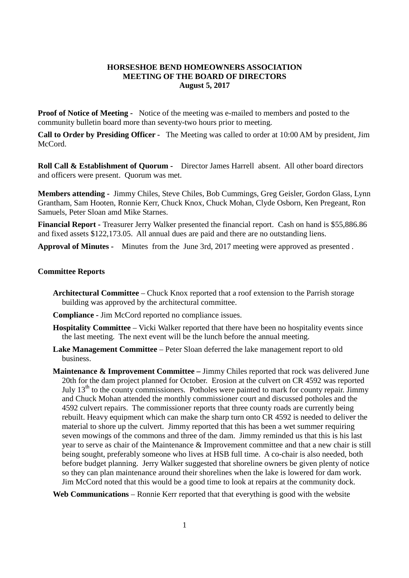## **HORSESHOE BEND HOMEOWNERS ASSOCIATION MEETING OF THE BOARD OF DIRECTORS August 5, 2017**

**Proof of Notice of Meeting -** Notice of the meeting was e-mailed to members and posted to the community bulletin board more than seventy-two hours prior to meeting.

**Call to Order by Presiding Officer -** The Meeting was called to order at 10:00 AM by president, Jim McCord.

**Roll Call & Establishment of Quorum -** Director James Harrell absent. All other board directors and officers were present. Quorum was met.

**Members attending -** Jimmy Chiles, Steve Chiles, Bob Cummings, Greg Geisler, Gordon Glass, Lynn Grantham, Sam Hooten, Ronnie Kerr, Chuck Knox, Chuck Mohan, Clyde Osborn, Ken Pregeant, Ron Samuels, Peter Sloan amd Mike Starnes.

**Financial Report -** Treasurer Jerry Walker presented the financial report. Cash on hand is \$55,886.86 and fixed assets \$122,173.05. All annual dues are paid and there are no outstanding liens.

**Approval of Minutes -** Minutes from the June 3rd, 2017 meeting were approved as presented .

## **Committee Reports**

- **Architectural Committee** Chuck Knox reported that a roof extension to the Parrish storage building was approved by the architectural committee.
- **Compliance -** Jim McCord reported no compliance issues.
- **Hospitality Committee** Vicki Walker reported that there have been no hospitality events since the last meeting. The next event will be the lunch before the annual meeting.
- **Lake Management Committee** Peter Sloan deferred the lake management report to old business.
- **Maintenance & Improvement Committee –** Jimmy Chiles reported that rock was delivered June 20th for the dam project planned for October. Erosion at the culvert on CR 4592 was reported July  $13<sup>th</sup>$  to the county commissioners. Potholes were painted to mark for county repair. Jimmy and Chuck Mohan attended the monthly commissioner court and discussed potholes and the 4592 culvert repairs. The commissioner reports that three county roads are currently being rebuilt. Heavy equipment which can make the sharp turn onto CR 4592 is needed to deliver the material to shore up the culvert. Jimmy reported that this has been a wet summer requiring seven mowings of the commons and three of the dam. Jimmy reminded us that this is his last year to serve as chair of the Maintenance & Improvement committee and that a new chair is still being sought, preferably someone who lives at HSB full time. A co-chair is also needed, both before budget planning. Jerry Walker suggested that shoreline owners be given plenty of notice so they can plan maintenance around their shorelines when the lake is lowered for dam work. Jim McCord noted that this would be a good time to look at repairs at the community dock.

**Web Communications** – Ronnie Kerr reported that that everything is good with the website